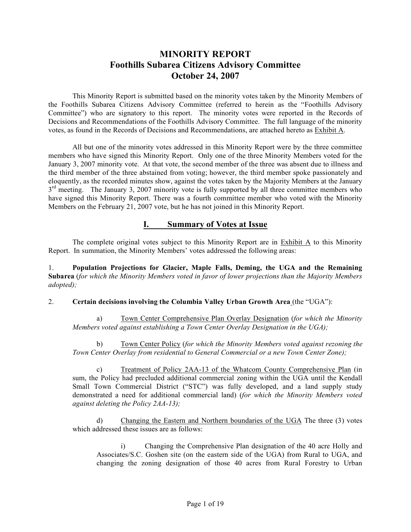# **MINORITY REPORT Foothills Subarea Citizens Advisory Committee October 24, 2007**

This Minority Report is submitted based on the minority votes taken by the Minority Members of the Foothills Subarea Citizens Advisory Committee (referred to herein as the "Foothills Advisory Committee") who are signatory to this report. The minority votes were reported in the Records of Decisions and Recommendations of the Foothills Advisory Committee. The full language of the minority votes, as found in the Records of Decisions and Recommendations, are attached hereto as Exhibit A.

All but one of the minority votes addressed in this Minority Report were by the three committee members who have signed this Minority Report. Only one of the three Minority Members voted for the January 3, 2007 minority vote. At that vote, the second member of the three was absent due to illness and the third member of the three abstained from voting; however, the third member spoke passionately and eloquently, as the recorded minutes show, against the votes taken by the Majority Members at the January  $3<sup>rd</sup>$  meeting. The January 3, 2007 minority vote is fully supported by all three committee members who have signed this Minority Report. There was a fourth committee member who voted with the Minority Members on the February 21, 2007 vote, but he has not joined in this Minority Report.

## **I. Summary of Votes at Issue**

The complete original votes subject to this Minority Report are in Exhibit A to this Minority Report. In summation, the Minority Members' votes addressed the following areas:

1. **Population Projections for Glacier, Maple Falls, Deming, the UGA and the Remaining Subarea** (*for which the Minority Members voted in favor of lower projections than the Majority Members adopted);*

#### 2. **Certain decisions involving the Columbia Valley Urban Growth Area** (the "UGA"):

a) Town Center Comprehensive Plan Overlay Designation (*for which the Minority Members voted against establishing a Town Center Overlay Designation in the UGA);*

b) Town Center Policy (*for which the Minority Members voted against rezoning the Town Center Overlay from residential to General Commercial or a new Town Center Zone);*

c) Treatment of Policy 2AA-13 of the Whatcom County Comprehensive Plan (in sum, the Policy had precluded additional commercial zoning within the UGA until the Kendall Small Town Commercial District ("STC") was fully developed, and a land supply study demonstrated a need for additional commercial land) (*for which the Minority Members voted against deleting the Policy 2AA-13);*

d) Changing the Eastern and Northern boundaries of the UGA The three (3) votes which addressed these issues are as follows:

i) Changing the Comprehensive Plan designation of the 40 acre Holly and Associates/S.C. Goshen site (on the eastern side of the UGA) from Rural to UGA, and changing the zoning designation of those 40 acres from Rural Forestry to Urban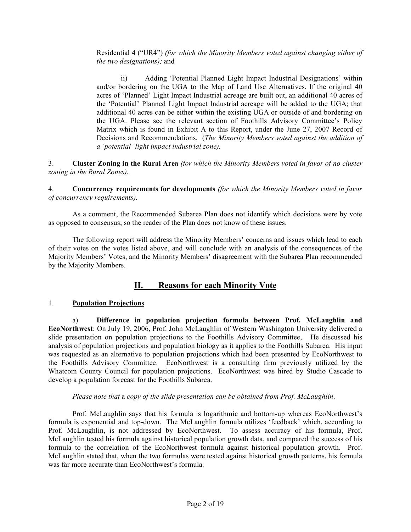Residential 4 ("UR4") *(for which the Minority Members voted against changing either of the two designations);* and

ii) Adding 'Potential Planned Light Impact Industrial Designations' within and/or bordering on the UGA to the Map of Land Use Alternatives. If the original 40 acres of 'Planned' Light Impact Industrial acreage are built out, an additional 40 acres of the 'Potential' Planned Light Impact Industrial acreage will be added to the UGA; that additional 40 acres can be either within the existing UGA or outside of and bordering on the UGA. Please see the relevant section of Foothills Advisory Committee's Policy Matrix which is found in Exhibit A to this Report, under the June 27, 2007 Record of Decisions and Recommendations. (*The Minority Members voted against the addition of a 'potential' light impact industrial zone).*

3. **Cluster Zoning in the Rural Area** *(for which the Minority Members voted in favor of no cluster zoning in the Rural Zones).*

4. **Concurrency requirements for developments** *(for which the Minority Members voted in favor of concurrency requirements).*

As a comment, the Recommended Subarea Plan does not identify which decisions were by vote as opposed to consensus, so the reader of the Plan does not know of these issues.

The following report will address the Minority Members' concerns and issues which lead to each of their votes on the votes listed above, and will conclude with an analysis of the consequences of the Majority Members' Votes, and the Minority Members' disagreement with the Subarea Plan recommended by the Majority Members.

# **II. Reasons for each Minority Vote**

#### 1. **Population Projections**

a) **Difference in population projection formula between Prof. McLaughlin and EcoNorthwest**: On July 19, 2006, Prof. John McLaughlin of Western Washington University delivered a slide presentation on population projections to the Foothills Advisory Committee,. He discussed his analysis of population projections and population biology as it applies to the Foothills Subarea. His input was requested as an alternative to population projections which had been presented by EcoNorthwest to the Foothills Advisory Committee. EcoNorthwest is a consulting firm previously utilized by the Whatcom County Council for population projections. EcoNorthwest was hired by Studio Cascade to develop a population forecast for the Foothills Subarea.

#### *Please note that* a *copy of the slide presentation can be obtained from Prof. McLaughlin*.

Prof. McLaughlin says that his formula is logarithmic and bottom-up whereas EcoNorthwest's formula is exponential and top-down. The McLaughlin formula utilizes 'feedback' which, according to Prof. McLaughlin, is not addressed by EcoNorthwest. To assess accuracy of his formula, Prof. McLaughlin tested his formula against historical population growth data, and compared the success of his formula to the correlation of the EcoNorthwest formula against historical population growth. Prof. McLaughlin stated that, when the two formulas were tested against historical growth patterns, his formula was far more accurate than EcoNorthwest's formula.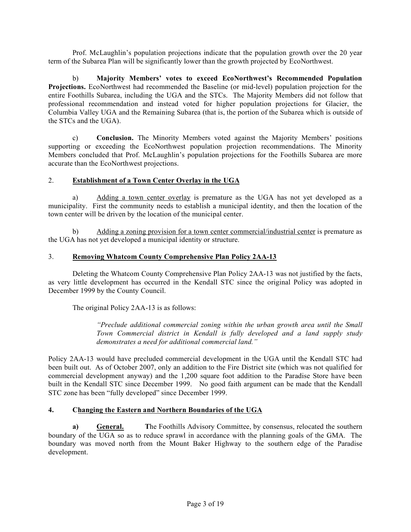Prof. McLaughlin's population projections indicate that the population growth over the 20 year term of the Subarea Plan will be significantly lower than the growth projected by EcoNorthwest.

b) **Majority Members' votes to exceed EcoNorthwest's Recommended Population Projections.** EcoNorthwest had recommended the Baseline (or mid-level) population projection for the entire Foothills Subarea, including the UGA and the STCs. The Majority Members did not follow that professional recommendation and instead voted for higher population projections for Glacier, the Columbia Valley UGA and the Remaining Subarea (that is, the portion of the Subarea which is outside of the STCs and the UGA).

c) **Conclusion.** The Minority Members voted against the Majority Members' positions supporting or exceeding the EcoNorthwest population projection recommendations. The Minority Members concluded that Prof. McLaughlin's population projections for the Foothills Subarea are more accurate than the EcoNorthwest projections.

#### 2. **Establishment of a Town Center Overlay in the UGA**

a) Adding a town center overlay is premature as the UGA has not yet developed as a municipality. First the community needs to establish a municipal identity, and then the location of the town center will be driven by the location of the municipal center.

b) Adding a zoning provision for a town center commercial/industrial center is premature as the UGA has not yet developed a municipal identity or structure.

#### 3. **Removing Whatcom County Comprehensive Plan Policy 2AA-13**

Deleting the Whatcom County Comprehensive Plan Policy 2AA-13 was not justified by the facts, as very little development has occurred in the Kendall STC since the original Policy was adopted in December 1999 by the County Council.

The original Policy 2AA-13 is as follows:

*"Preclude additional commercial zoning within the urban growth area until the Small Town Commercial district in Kendall is fully developed and a land supply study demonstrates a need for additional commercial land."*

Policy 2AA-13 would have precluded commercial development in the UGA until the Kendall STC had been built out. As of October 2007, only an addition to the Fire District site (which was not qualified for commercial development anyway) and the 1,200 square foot addition to the Paradise Store have been built in the Kendall STC since December 1999. No good faith argument can be made that the Kendall STC zone has been "fully developed" since December 1999.

## **4. Changing the Eastern and Northern Boundaries of the UGA**

**a) General. T**he Foothills Advisory Committee, by consensus, relocated the southern boundary of the UGA so as to reduce sprawl in accordance with the planning goals of the GMA. The boundary was moved north from the Mount Baker Highway to the southern edge of the Paradise development.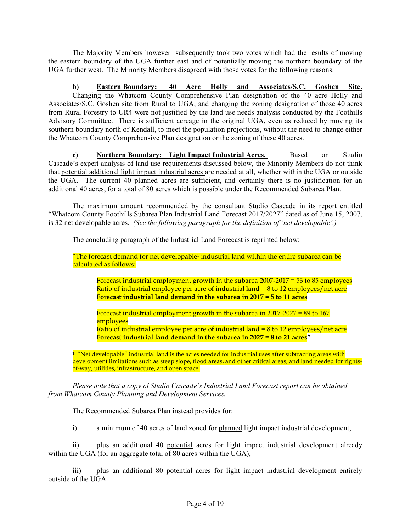The Majority Members however subsequently took two votes which had the results of moving the eastern boundary of the UGA further east and of potentially moving the northern boundary of the UGA further west. The Minority Members disagreed with those votes for the following reasons.

**b) Eastern Boundary: 40 Acre Holly and Associates/S.C. Goshen Site.** Changing the Whatcom County Comprehensive Plan designation of the 40 acre Holly and Associates/S.C. Goshen site from Rural to UGA, and changing the zoning designation of those 40 acres from Rural Forestry to UR4 were not justified by the land use needs analysis conducted by the Foothills Advisory Committee. There is sufficient acreage in the original UGA, even as reduced by moving its southern boundary north of Kendall, to meet the population projections, without the need to change either the Whatcom County Comprehensive Plan designation or the zoning of these 40 acres.

**c) Northern Boundary: Light Impact Industrial Acres.** Based on Studio Cascade's expert analysis of land use requirements discussed below, the Minority Members do not think that potential additional light impact industrial acres are needed at all, whether within the UGA or outside the UGA. The current 40 planned acres are sufficient, and certainly there is no justification for an additional 40 acres, for a total of 80 acres which is possible under the Recommended Subarea Plan.

The maximum amount recommended by the consultant Studio Cascade in its report entitled "Whatcom County Foothills Subarea Plan Industrial Land Forecast 2017/2027" dated as of June 15, 2007, is 32 net developable acres. *(See the following paragraph for the definition of 'net developable'.)*

The concluding paragraph of the Industrial Land Forecast is reprinted below:

"The forecast demand for net developable<sup>1</sup> industrial land within the entire subarea can be calculated as follows:

Forecast industrial employment growth in the subarea 2007-2017 = 53 to 85 employees Ratio of industrial employee per acre of industrial land  $= 8$  to 12 employees/net acre **Forecast industrial land demand in the subarea in 2017 = 5 to 11 acres**

Forecast industrial employment growth in the subarea in 2017-2027 = 89 to  $167$ employees Ratio of industrial employee per acre of industrial land = 8 to 12 employees/net acre **Forecast industrial land demand in the subarea in 2027 = 8 to 21 acres"**

 $1$  "Net developable" industrial land is the acres needed for industrial uses after subtracting areas with development limitations such as steep slope, flood areas, and other critical areas, and land needed for rightsof-way, utilities, infrastructure, and open space.

*Please note that a copy of Studio Cascade's Industrial Land Forecast report can be obtained from Whatcom County Planning and Development Services.*

The Recommended Subarea Plan instead provides for:

i) a minimum of 40 acres of land zoned for planned light impact industrial development,

ii) plus an additional 40 potential acres for light impact industrial development already within the UGA (for an aggregate total of 80 acres within the UGA),

iii) plus an additional 80 potential acres for light impact industrial development entirely outside of the UGA.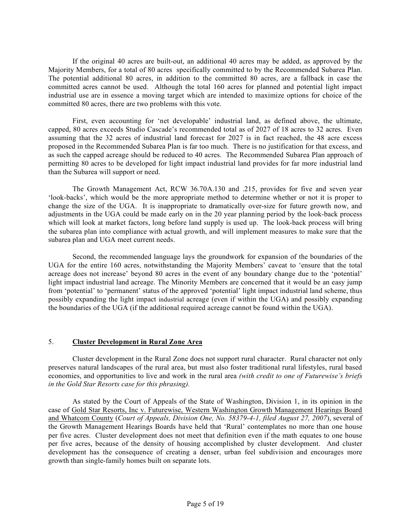If the original 40 acres are built-out, an additional 40 acres may be added, as approved by the Majority Members, for a total of 80 acres specifically committed to by the Recommended Subarea Plan. The potential additional 80 acres, in addition to the committed 80 acres, are a fallback in case the committed acres cannot be used. Although the total 160 acres for planned and potential light impact industrial use are in essence a moving target which are intended to maximize options for choice of the committed 80 acres, there are two problems with this vote.

First, even accounting for 'net developable' industrial land, as defined above, the ultimate, capped, 80 acres exceeds Studio Cascade's recommended total as of 2027 of 18 acres to 32 acres. Even assuming that the 32 acres of industrial land forecast for 2027 is in fact reached, the 48 acre excess proposed in the Recommended Subarea Plan is far too much. There is no justification for that excess, and as such the capped acreage should be reduced to 40 acres. The Recommended Subarea Plan approach of permitting 80 acres to be developed for light impact industrial land provides for far more industrial land than the Subarea will support or need.

The Growth Management Act, RCW 36.70A.130 and .215, provides for five and seven year 'look-backs', which would be the more appropriate method to determine whether or not it is proper to change the size of the UGA. It is inappropriate to dramatically over-size for future growth now, and adjustments in the UGA could be made early on in the 20 year planning period by the look-back process which will look at market factors, long before land supply is used up. The look-back process will bring the subarea plan into compliance with actual growth, and will implement measures to make sure that the subarea plan and UGA meet current needs.

Second, the recommended language lays the groundwork for expansion of the boundaries of the UGA for the entire 160 acres, notwithstanding the Majority Members' caveat to 'ensure that the total acreage does not increase' beyond 80 acres in the event of any boundary change due to the 'potential' light impact industrial land acreage. The Minority Members are concerned that it would be an easy jump from 'potential' to 'permanent' status of the approved 'potential' light impact industrial land scheme, thus possibly expanding the light impact industrial acreage (even if within the UGA) and possibly expanding the boundaries of the UGA (if the additional required acreage cannot be found within the UGA).

## 5. **Cluster Development in Rural Zone Area**

Cluster development in the Rural Zone does not support rural character. Rural character not only preserves natural landscapes of the rural area, but must also foster traditional rural lifestyles, rural based economies, and opportunities to live and work in the rural area *(with credit to one of Futurewise's briefs in the Gold Star Resorts case for this phrasing).*

As stated by the Court of Appeals of the State of Washington, Division 1, in its opinion in the case of Gold Star Resorts, Inc v. Futurewise, Western Washington Growth Management Hearings Board and Whatcom County (*Court of Appeals, Division One, No. 58379-4-1, filed August 27, 2007*), several of the Growth Management Hearings Boards have held that 'Rural' contemplates no more than one house per five acres. Cluster development does not meet that definition even if the math equates to one house per five acres, because of the density of housing accomplished by cluster development. And cluster development has the consequence of creating a denser, urban feel subdivision and encourages more growth than single-family homes built on separate lots.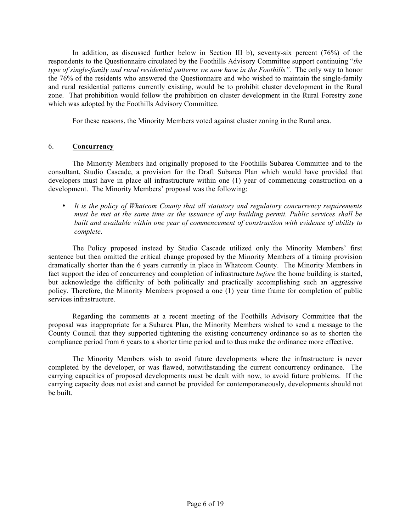In addition, as discussed further below in Section III b), seventy-six percent (76%) of the respondents to the Questionnaire circulated by the Foothills Advisory Committee support continuing "*the type of single-family and rural residential patterns we now have in the Foothills".* The only way to honor the 76% of the residents who answered the Questionnaire and who wished to maintain the single-family and rural residential patterns currently existing, would be to prohibit cluster development in the Rural zone. That prohibition would follow the prohibition on cluster development in the Rural Forestry zone which was adopted by the Foothills Advisory Committee.

For these reasons, the Minority Members voted against cluster zoning in the Rural area.

#### 6. **Concurrency**

The Minority Members had originally proposed to the Foothills Subarea Committee and to the consultant, Studio Cascade, a provision for the Draft Subarea Plan which would have provided that developers must have in place all infrastructure within one (1) year of commencing construction on a development. The Minority Members' proposal was the following:

• *It is the policy of Whatcom County that all statutory and regulatory concurrency requirements must be met at the same time as the issuance of any building permit. Public services shall be built and available within one year of commencement of construction with evidence of ability to complete.*

The Policy proposed instead by Studio Cascade utilized only the Minority Members' first sentence but then omitted the critical change proposed by the Minority Members of a timing provision dramatically shorter than the 6 years currently in place in Whatcom County. The Minority Members in fact support the idea of concurrency and completion of infrastructure *before* the home building is started, but acknowledge the difficulty of both politically and practically accomplishing such an aggressive policy. Therefore, the Minority Members proposed a one (1) year time frame for completion of public services infrastructure.

Regarding the comments at a recent meeting of the Foothills Advisory Committee that the proposal was inappropriate for a Subarea Plan, the Minority Members wished to send a message to the County Council that they supported tightening the existing concurrency ordinance so as to shorten the compliance period from 6 years to a shorter time period and to thus make the ordinance more effective.

The Minority Members wish to avoid future developments where the infrastructure is never completed by the developer, or was flawed, notwithstanding the current concurrency ordinance. The carrying capacities of proposed developments must be dealt with now, to avoid future problems. If the carrying capacity does not exist and cannot be provided for contemporaneously, developments should not be built.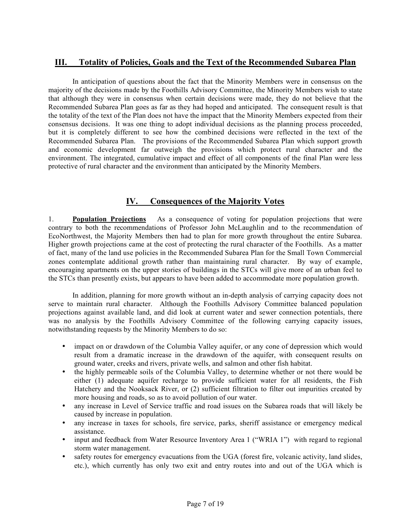# **III. Totality of Policies, Goals and the Text of the Recommended Subarea Plan**

In anticipation of questions about the fact that the Minority Members were in consensus on the majority of the decisions made by the Foothills Advisory Committee, the Minority Members wish to state that although they were in consensus when certain decisions were made, they do not believe that the Recommended Subarea Plan goes as far as they had hoped and anticipated. The consequent result is that the totality of the text of the Plan does not have the impact that the Minority Members expected from their consensus decisions. It was one thing to adopt individual decisions as the planning process proceeded, but it is completely different to see how the combined decisions were reflected in the text of the Recommended Subarea Plan. The provisions of the Recommended Subarea Plan which support growth and economic development far outweigh the provisions which protect rural character and the environment. The integrated, cumulative impact and effect of all components of the final Plan were less protective of rural character and the environment than anticipated by the Minority Members.

# **IV. Consequences of the Majority Votes**

1. **Population Projections** As a consequence of voting for population projections that were contrary to both the recommendations of Professor John McLaughlin and to the recommendation of EcoNorthwest, the Majority Members then had to plan for more growth throughout the entire Subarea. Higher growth projections came at the cost of protecting the rural character of the Foothills. As a matter of fact, many of the land use policies in the Recommended Subarea Plan for the Small Town Commercial zones contemplate additional growth rather than maintaining rural character. By way of example, encouraging apartments on the upper stories of buildings in the STCs will give more of an urban feel to the STCs than presently exists, but appears to have been added to accommodate more population growth.

In addition, planning for more growth without an in-depth analysis of carrying capacity does not serve to maintain rural character. Although the Foothills Advisory Committee balanced population projections against available land, and did look at current water and sewer connection potentials, there was no analysis by the Foothills Advisory Committee of the following carrying capacity issues, notwithstanding requests by the Minority Members to do so:

- impact on or drawdown of the Columbia Valley aquifer, or any cone of depression which would result from a dramatic increase in the drawdown of the aquifer, with consequent results on ground water, creeks and rivers, private wells, and salmon and other fish habitat.
- the highly permeable soils of the Columbia Valley, to determine whether or not there would be either (1) adequate aquifer recharge to provide sufficient water for all residents, the Fish Hatchery and the Nooksack River, or (2) sufficient filtration to filter out impurities created by more housing and roads, so as to avoid pollution of our water.
- any increase in Level of Service traffic and road issues on the Subarea roads that will likely be caused by increase in population.
- any increase in taxes for schools, fire service, parks, sheriff assistance or emergency medical assistance.
- input and feedback from Water Resource Inventory Area 1 ("WRIA 1") with regard to regional storm water management.
- safety routes for emergency evacuations from the UGA (forest fire, volcanic activity, land slides, etc.), which currently has only two exit and entry routes into and out of the UGA which is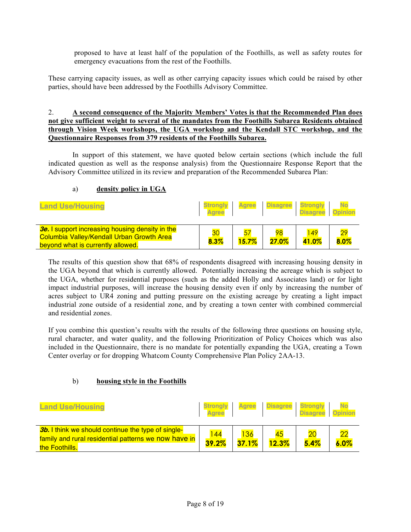proposed to have at least half of the population of the Foothills, as well as safety routes for emergency evacuations from the rest of the Foothills.

These carrying capacity issues, as well as other carrying capacity issues which could be raised by other parties, should have been addressed by the Foothills Advisory Committee.

#### 2. **A second consequence of the Majority Members' Votes is that the Recommended Plan does not give sufficient weight to several of the mandates from the Foothills Subarea Residents obtained through Vision Week workshops, the UGA workshop and the Kendall STC workshop, and the Questionnaire Responses from 379 residents of the Foothills Subarea.**

In support of this statement, we have quoted below certain sections (which include the full indicated question as well as the response analysis) from the Questionnaire Response Report that the Advisory Committee utilized in its review and preparation of the Recommended Subarea Plan:

#### a) **density policy in UGA**

| <b>Land Use/Housing</b>                                                                                                                         | <b>Strongly</b><br><b>Aaree</b> |       | Agree Disagree Strongly | <b>Disagree</b> | <b>Opinion</b>          |
|-------------------------------------------------------------------------------------------------------------------------------------------------|---------------------------------|-------|-------------------------|-----------------|-------------------------|
| <b>3e.</b> I support increasing housing density in the<br><b>Columbia Valley/Kendall Urban Growth Area</b><br>beyond what is currently allowed. | 30<br>8.3%                      | 15.7% | 98<br>27.0%             | 149<br>41.0%    | $\overline{29}$<br>8.0% |

The results of this question show that 68% of respondents disagreed with increasing housing density in the UGA beyond that which is currently allowed. Potentially increasing the acreage which is subject to the UGA, whether for residential purposes (such as the added Holly and Associates land) or for light impact industrial purposes, will increase the housing density even if only by increasing the number of acres subject to UR4 zoning and putting pressure on the existing acreage by creating a light impact industrial zone outside of a residential zone, and by creating a town center with combined commercial and residential zones.

If you combine this question's results with the results of the following three questions on housing style, rural character, and water quality, and the following Prioritization of Policy Choices which was also included in the Questionnaire, there is no mandate for potentially expanding the UGA, creating a Town Center overlay or for dropping Whatcom County Comprehensive Plan Policy 2AA-13.

#### b) **housing style in the Foothills**

| <b>Land Use/Housing</b>                                                                                                             | <b>Strongly</b><br>Aaree | <b>Agree</b> | Disagree Strongly | <b>Disagree Opinion</b> |            |
|-------------------------------------------------------------------------------------------------------------------------------------|--------------------------|--------------|-------------------|-------------------------|------------|
| <b>3b.</b> I think we should continue the type of single-<br>family and rural residential patterns we now have in<br>the Foothills. | 44<br>39.2%              | 37.1%        | 12.3%             | 20<br>5.4%              | つつ<br>6.0% |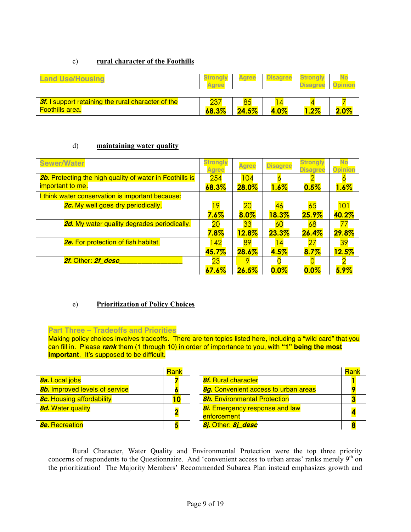#### c) **rural character of the Foothills**

| <b>Land Use/Housing</b>                                                             | <b>Strongly</b><br><b>Agree</b> | <b>Agree</b> | <b>Disagree</b> | <b>Strongly</b><br><b>Disagree</b> | <b>Opinion</b> |
|-------------------------------------------------------------------------------------|---------------------------------|--------------|-----------------|------------------------------------|----------------|
| <b>3f.</b> I support retaining the rural character of the<br><b>Foothills area.</b> | 68.3%                           | 24.5%        | 4.0%            | $.2\%$                             | 2.0%           |

#### d) **maintaining water quality**

| <b>Sewer/Water</b>                                              | <b>Strongly</b><br>gree | <b>Agree</b> | <b>Disagree</b> | <b>Strongly</b><br><b>Disagree</b> | <b>Opinion</b> |
|-----------------------------------------------------------------|-------------------------|--------------|-----------------|------------------------------------|----------------|
| <b>2b.</b> Protecting the high quality of water in Foothills is | 254                     | 104          |                 |                                    |                |
| important to me.                                                | 68.3%                   | 28.0%        | $1.6\%$         | 0.5%                               | $1.6\%$        |
| I think water conservation is important because:                |                         |              |                 |                                    |                |
| <b>2c.</b> My well goes dry periodically.                       | 19                      | 20           | 46              | 65                                 | 101            |
|                                                                 | $7.6\%$                 | 8.0%         | <b>18.3%</b>    | $25.9\%$                           | 40.2%          |
| <b>2d.</b> My water quality degrades periodically.              | 20                      | 33           | 60              | 68                                 |                |
|                                                                 | 7.8%                    | <b>12.8%</b> | 23.3%           | 26.4%                              | 29.8%          |
| <b>2e.</b> For protection of fish habitat.                      | 142                     | 89           | $\overline{4}$  |                                    | 39             |
|                                                                 | 45.7%                   | $28.6\%$     | 4.5%            | 8.7%                               | 12.5%          |
| 2f. Other: 2f desc                                              | 23                      |              |                 |                                    |                |
|                                                                 | 67.6%                   | 26.5%        | 0.0%            | 0.0%                               | 5.9%           |

## e) **Prioritization of Policy Choices**

#### **Part Three – Tradeoffs and Priorities**

Making policy choices involves tradeoffs. There are ten topics listed here, including a "wild card" that you can fill in. Please **rank** them (1 through 10) in order of importance to you, with **"1" being the most important**. It's supposed to be difficult.

|                                       | <b>Rank</b> |                                             | Rank |
|---------------------------------------|-------------|---------------------------------------------|------|
| <b>8a.</b> Local jobs                 |             | <b>8f.</b> Rural character                  |      |
| <b>8b.</b> Improved levels of service |             | <b>8g.</b> Convenient access to urban areas |      |
| <b>8c.</b> Housing affordability      |             | <b>8h.</b> Environmental Protection         |      |
| <b>8d.</b> Water quality              |             | <b>8i.</b> Emergency response and law       |      |
|                                       |             | enforcement                                 |      |
| <b>8e.</b> Recreation                 |             | 8j. Other: 8j_desc                          |      |

Rural Character, Water Quality and Environmental Protection were the top three priority concerns of respondents to the Questionnaire. And 'convenient access to urban areas' ranks merely  $9<sup>th</sup>$  on the prioritization! The Majority Members' Recommended Subarea Plan instead emphasizes growth and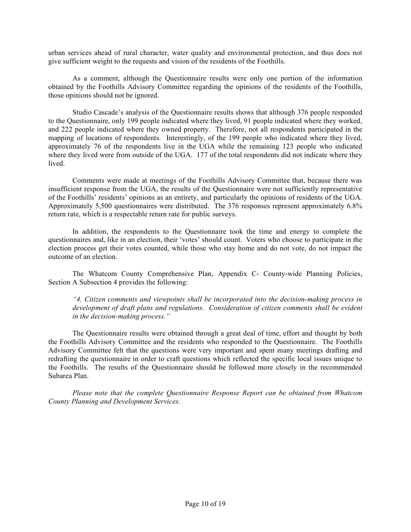urban services ahead of rural character, water quality and environmental protection, and thus does not give sufficient weight to the requests and vision of the residents of the Foothills.

As a comment, although the Questionnaire results were only one portion of the information obtained by the Foothills Advisory Committee regarding the opinions of the residents of the Foothills, those opinions should not be ignored.

Studio Cascade's analysis of the Questionnaire results shows that although 376 people responded to the Questionnaire, only 199 people indicated where they lived, 91 people indicated where they worked, and 222 people indicated where they owned property. Therefore, not all respondents participated in the mapping of locations of respondents. Interestingly, of the 199 people who indicated where they lived, approximately 76 of the respondents live in the UGA while the remaining 123 people who indicated where they lived were from outside of the UGA. 177 of the total respondents did not indicate where they lived.

Comments were made at meetings of the Foothills Advisory Committee that, because there was insufficient response from the UGA, the results of the Questionnaire were not sufficiently representative of the Foothills' residents' opinions as an entirety, and particularly the opinions of residents of the UGA. Approximately 5,500 questionnaires were distributed. The 376 responses represent approximately 6.8% return rate, which is a respectable return rate for public surveys.

In addition, the respondents to the Questionnaire took the time and energy to complete the questionnaires and, like in an election, their 'votes' should count. Voters who choose to participate in the election process get their votes counted, while those who stay home and do not vote, do not impact the outcome of an election.

The Whatcom County Comprehensive Plan, Appendix C- County-wide Planning Policies, Section A Subsection 4 provides the following:

*"4. Citizen comments and viewpoints shall be incorporated into the decision-making process in development of draft plans and regulations. Consideration of citizen comments shall be evident in the decision-making process."*

The Questionnaire results were obtained through a great deal of time, effort and thought by both the Foothills Advisory Committee and the residents who responded to the Questionnaire. The Foothills Advisory Committee felt that the questions were very important and spent many meetings drafting and redrafting the questionnaire in order to craft questions which reflected the specific local issues unique to the Foothills. The results of the Questionnaire should be followed more closely in the recommended Subarea Plan.

*Please note that the complete Questionnaire Response Report can be obtained from Whatcom County Planning and Development Services.*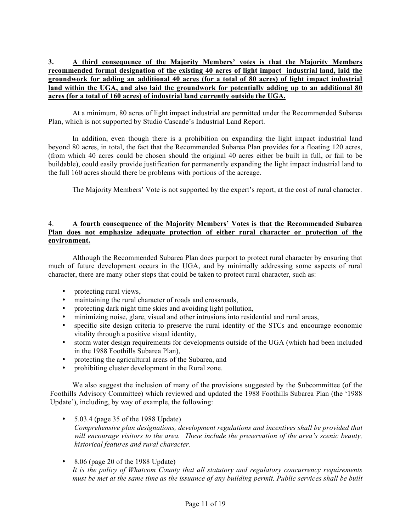### **3. A third consequence of the Majority Members' votes is that the Majority Members recommended formal designation of the existing 40 acres of light impact industrial land, laid the groundwork for adding an additional 40 acres (for a total of 80 acres) of light impact industrial land within the UGA, and also laid the groundwork for potentially adding up to an additional 80 acres (for a total of 160 acres) of industrial land currently outside the UGA.**

At a minimum, 80 acres of light impact industrial are permitted under the Recommended Subarea Plan, which is not supported by Studio Cascade's Industrial Land Report.

In addition, even though there is a prohibition on expanding the light impact industrial land beyond 80 acres, in total, the fact that the Recommended Subarea Plan provides for a floating 120 acres, (from which 40 acres could be chosen should the original 40 acres either be built in full, or fail to be buildable), could easily provide justification for permanently expanding the light impact industrial land to the full 160 acres should there be problems with portions of the acreage.

The Majority Members' Vote is not supported by the expert's report, at the cost of rural character.

#### 4. **A fourth consequence of the Majority Members' Votes is that the Recommended Subarea Plan does not emphasize adequate protection of either rural character or protection of the environment.**

Although the Recommended Subarea Plan does purport to protect rural character by ensuring that much of future development occurs in the UGA, and by minimally addressing some aspects of rural character, there are many other steps that could be taken to protect rural character, such as:

- protecting rural views,
- maintaining the rural character of roads and crossroads,
- protecting dark night time skies and avoiding light pollution,
- minimizing noise, glare, visual and other intrusions into residential and rural areas,
- specific site design criteria to preserve the rural identity of the STCs and encourage economic vitality through a positive visual identity,
- storm water design requirements for developments outside of the UGA (which had been included in the 1988 Foothills Subarea Plan),
- protecting the agricultural areas of the Subarea, and
- prohibiting cluster development in the Rural zone.

We also suggest the inclusion of many of the provisions suggested by the Subcommittee (of the Foothills Advisory Committee) which reviewed and updated the 1988 Foothills Subarea Plan (the '1988 Update'), including, by way of example, the following:

- $\bullet$  5.03.4 (page 35 of the 1988 Update) *Comprehensive plan designations, development regulations and incentives shall be provided that will encourage visitors to the area. These include the preservation of the area's scenic beauty, historical features and rural character.*
- 8.06 (page 20 of the 1988 Update) *It is the policy of Whatcom County that all statutory and regulatory concurrency requirements must be met at the same time as the issuance of any building permit. Public services shall be built*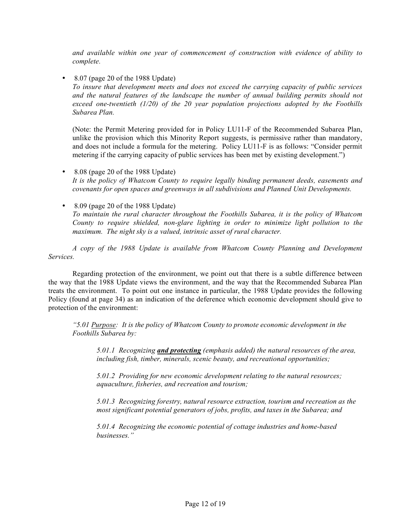*and available within one year of commencement of construction with evidence of ability to complete.*

• 8.07 (page 20 of the 1988 Update)

*To insure that development meets and does not exceed the carrying capacity of public services and the natural features of the landscape the number of annual building permits should not exceed one-twentieth (1/20) of the 20 year population projections adopted by the Foothills Subarea Plan.*

(Note: the Permit Metering provided for in Policy LU11-F of the Recommended Subarea Plan, unlike the provision which this Minority Report suggests, is permissive rather than mandatory, and does not include a formula for the metering. Policy LU11-F is as follows: "Consider permit metering if the carrying capacity of public services has been met by existing development.")

- 8.08 (page 20 of the 1988 Update) *It is the policy of Whatcom County to require legally binding permanent deeds, easements and covenants for open spaces and greenways in all subdivisions and Planned Unit Developments.*
- 8.09 (page 20 of the 1988 Update) *To maintain the rural character throughout the Foothills Subarea, it is the policy of Whatcom County to require shielded, non-glare lighting in order to minimize light pollution to the maximum. The night sky is a valued, intrinsic asset of rural character.*

*A copy of the 1988 Update is available from Whatcom County Planning and Development Services.*

Regarding protection of the environment, we point out that there is a subtle difference between the way that the 1988 Update views the environment, and the way that the Recommended Subarea Plan treats the environment. To point out one instance in particular, the 1988 Update provides the following Policy (found at page 34) as an indication of the deference which economic development should give to protection of the environment:

*"5.01 Purpose: It is the policy of Whatcom County to promote economic development in the Foothills Subarea by:*

*5.01.1 Recognizing and protecting (emphasis added) the natural resources of the area, including fish, timber, minerals, scenic beauty, and recreational opportunities;*

*5.01.2 Providing for new economic development relating to the natural resources; aquaculture, fisheries, and recreation and tourism;*

*5.01.3 Recognizing forestry, natural resource extraction, tourism and recreation as the most significant potential generators of jobs, profits, and taxes in the Subarea; and*

*5.01.4 Recognizing the economic potential of cottage industries and home-based businesses."*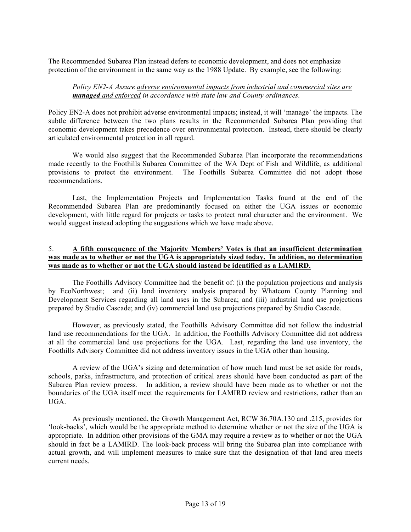The Recommended Subarea Plan instead defers to economic development, and does not emphasize protection of the environment in the same way as the 1988 Update. By example, see the following:

#### *Policy EN2-A Assure adverse environmental impacts from industrial and commercial sites are managed and enforced in accordance with state law and County ordinances.*

Policy EN2-A does not prohibit adverse environmental impacts; instead, it will 'manage' the impacts. The subtle difference between the two plans results in the Recommended Subarea Plan providing that economic development takes precedence over environmental protection. Instead, there should be clearly articulated environmental protection in all regard.

We would also suggest that the Recommended Subarea Plan incorporate the recommendations made recently to the Foothills Subarea Committee of the WA Dept of Fish and Wildlife, as additional provisions to protect the environment. The Foothills Subarea Committee did not adopt those recommendations.

Last, the Implementation Projects and Implementation Tasks found at the end of the Recommended Subarea Plan are predominantly focused on either the UGA issues or economic development, with little regard for projects or tasks to protect rural character and the environment. We would suggest instead adopting the suggestions which we have made above.

#### 5. **A fifth consequence of the Majority Members' Votes is that an insufficient determination was made as to whether or not the UGA is appropriately sized today. In addition, no determination was made as to whether or not the UGA should instead be identified as a LAMIRD.**

The Foothills Advisory Committee had the benefit of: (i) the population projections and analysis by EcoNorthwest; and (ii) land inventory analysis prepared by Whatcom County Planning and Development Services regarding all land uses in the Subarea; and (iii) industrial land use projections prepared by Studio Cascade; and (iv) commercial land use projections prepared by Studio Cascade.

However, as previously stated, the Foothills Advisory Committee did not follow the industrial land use recommendations for the UGA. In addition, the Foothills Advisory Committee did not address at all the commercial land use projections for the UGA. Last, regarding the land use inventory, the Foothills Advisory Committee did not address inventory issues in the UGA other than housing.

A review of the UGA's sizing and determination of how much land must be set aside for roads, schools, parks, infrastructure, and protection of critical areas should have been conducted as part of the Subarea Plan review process*.* In addition, a review should have been made as to whether or not the boundaries of the UGA itself meet the requirements for LAMIRD review and restrictions, rather than an UGA.

As previously mentioned, the Growth Management Act, RCW 36.70A.130 and .215, provides for 'look-backs', which would be the appropriate method to determine whether or not the size of the UGA is appropriate. In addition other provisions of the GMA may require a review as to whether or not the UGA should in fact be a LAMIRD. The look-back process will bring the Subarea plan into compliance with actual growth, and will implement measures to make sure that the designation of that land area meets current needs.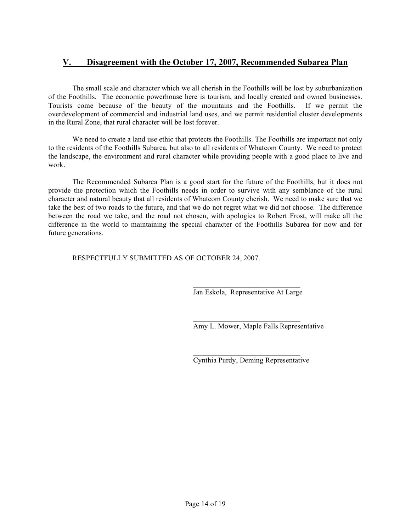# **V. Disagreement with the October 17, 2007, Recommended Subarea Plan**

The small scale and character which we all cherish in the Foothills will be lost by suburbanization of the Foothills. The economic powerhouse here is tourism, and locally created and owned businesses. Tourists come because of the beauty of the mountains and the Foothills. If we permit the overdevelopment of commercial and industrial land uses, and we permit residential cluster developments in the Rural Zone, that rural character will be lost forever.

We need to create a land use ethic that protects the Foothills. The Foothills are important not only to the residents of the Foothills Subarea, but also to all residents of Whatcom County. We need to protect the landscape, the environment and rural character while providing people with a good place to live and work.

The Recommended Subarea Plan is a good start for the future of the Foothills, but it does not provide the protection which the Foothills needs in order to survive with any semblance of the rural character and natural beauty that all residents of Whatcom County cherish. We need to make sure that we take the best of two roads to the future, and that we do not regret what we did not choose. The difference between the road we take, and the road not chosen, with apologies to Robert Frost, will make all the difference in the world to maintaining the special character of the Foothills Subarea for now and for future generations.

RESPECTFULLY SUBMITTED AS OF OCTOBER 24, 2007.

 $\mathcal{L}_\text{max}$  and  $\mathcal{L}_\text{max}$  and  $\mathcal{L}_\text{max}$  and  $\mathcal{L}_\text{max}$ Jan Eskola, Representative At Large

Amy L. Mower, Maple Falls Representative

 $\mathcal{L}_\text{max}$  and  $\mathcal{L}_\text{max}$  and  $\mathcal{L}_\text{max}$  and  $\mathcal{L}_\text{max}$ Cynthia Purdy, Deming Representative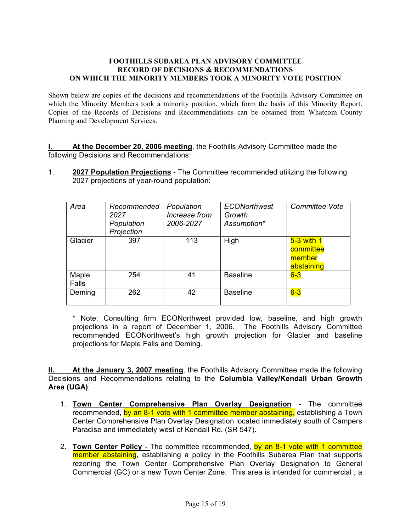#### **FOOTHILLS SUBAREA PLAN ADVISORY COMMITTEE RECORD OF DECISIONS & RECOMMENDATIONS ON WHICH THE MINORITY MEMBERS TOOK A MINORITY VOTE POSITION**

Shown below are copies of the decisions and recommendations of the Foothills Advisory Committee on which the Minority Members took a minority position, which form the basis of this Minority Report. Copies of the Records of Decisions and Recommendations can be obtained from Whatcom County Planning and Development Services.

**I. At the December 20, 2006 meeting**, the Foothills Advisory Committee made the following Decisions and Recommendations:

1. **2027 Population Projections** - The Committee recommended utilizing the following 2027 projections of year-round population:

| Area           | Recommended<br>2027<br>Population<br>Projection | Population<br>Increase from<br>2006-2027 | <b>ECONorthwest</b><br>Growth<br>Assumption* | <b>Committee Vote</b>                             |
|----------------|-------------------------------------------------|------------------------------------------|----------------------------------------------|---------------------------------------------------|
| Glacier        | 397                                             | 113                                      | High                                         | $5-3$ with 1<br>committee<br>member<br>abstaining |
| Maple<br>Falls | 254                                             | 41                                       | <b>Baseline</b>                              | $6-3$                                             |
| Deming         | 262                                             | 42                                       | <b>Baseline</b>                              | $6-3$                                             |

\* Note: Consulting firm ECONorthwest provided low, baseline, and high growth projections in a report of December 1, 2006. The Foothills Advisory Committee recommended ECONorthwest's high growth projection for Glacier and baseline projections for Maple Falls and Deming.

**II. At the January 3, 2007 meeting**, the Foothills Advisory Committee made the following Decisions and Recommendations relating to the **Columbia Valley/Kendall Urban Growth Area (UGA)**:

- 1. **Town Center Comprehensive Plan Overlay Designation** The committee recommended, by an 8-1 vote with 1 committee member abstaining, establishing a Town Center Comprehensive Plan Overlay Designation located immediately south of Campers Paradise and immediately west of Kendall Rd. (SR 547).
- 2. **Town Center Policy** The committee recommended, by an 8-1 vote with 1 committee member abstaining, establishing a policy in the Foothills Subarea Plan that supports rezoning the Town Center Comprehensive Plan Overlay Designation to General Commercial (GC) or a new Town Center Zone. This area is intended for commercial , a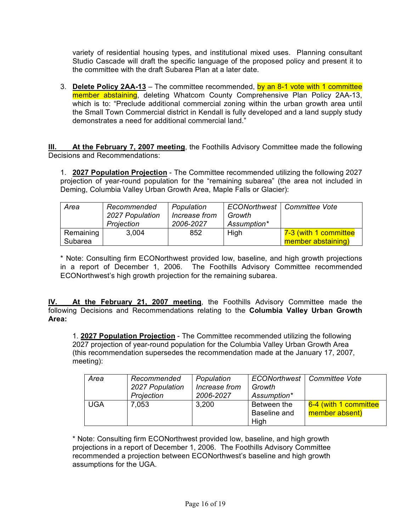variety of residential housing types, and institutional mixed uses. Planning consultant Studio Cascade will draft the specific language of the proposed policy and present it to the committee with the draft Subarea Plan at a later date.

3. **Delete Policy 2AA-13** – The committee recommended, by an 8-1 vote with 1 committee member abstaining, deleting Whatcom County Comprehensive Plan Policy 2AA-13, which is to: "Preclude additional commercial zoning within the urban growth area until the Small Town Commercial district in Kendall is fully developed and a land supply study demonstrates a need for additional commercial land."

**III. At the February 7, 2007 meeting**, the Foothills Advisory Committee made the following Decisions and Recommendations:

1. **2027 Population Projection** - The Committee recommended utilizing the following 2027 projection of year-round population for the "remaining subarea" (the area not included in Deming, Columbia Valley Urban Growth Area, Maple Falls or Glacier):

| Area      | Recommended<br>2027 Population<br>Projection | Population<br>Increase from<br>2006-2027 | Growth<br>Assumption* | ECONorthwest   Committee Vote |
|-----------|----------------------------------------------|------------------------------------------|-----------------------|-------------------------------|
| Remaining | 3,004                                        | 852                                      | High                  | 7-3 (with 1 committee         |
| Subarea   |                                              |                                          |                       | member abstaining)            |

\* Note: Consulting firm ECONorthwest provided low, baseline, and high growth projections in a report of December 1, 2006. The Foothills Advisory Committee recommended ECONorthwest's high growth projection for the remaining subarea.

**IV. At the February 21, 2007 meeting**, the Foothills Advisory Committee made the following Decisions and Recommendations relating to the **Columbia Valley Urban Growth Area:**

1. **2027 Population Projection** - The Committee recommended utilizing the following 2027 projection of year-round population for the Columbia Valley Urban Growth Area (this recommendation supersedes the recommendation made at the January 17, 2007, meeting):

| Area       | Recommended     | Population    |              | ECONorthwest   Committee Vote |
|------------|-----------------|---------------|--------------|-------------------------------|
|            | 2027 Population | Increase from | Growth       |                               |
|            | Projection      | 2006-2027     | Assumption*  |                               |
| <b>UGA</b> | 7,053           | 3,200         | Between the  | 6-4 (with 1 committee         |
|            |                 |               | Baseline and | member absent)                |
|            |                 |               | High         |                               |

\* Note: Consulting firm ECONorthwest provided low, baseline, and high growth projections in a report of December 1, 2006. The Foothills Advisory Committee recommended a projection between ECONorthwest's baseline and high growth assumptions for the UGA.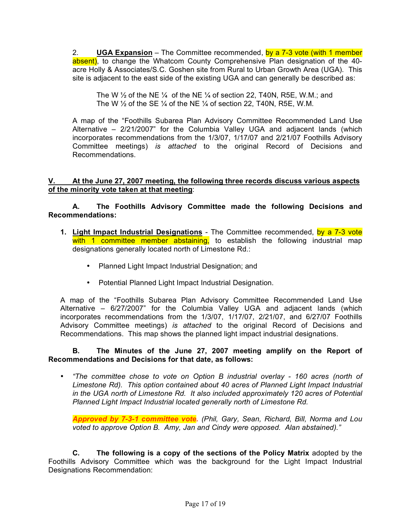2. **UGA Expansion** – The Committee recommended, by a 7-3 vote (with 1 member absent), to change the Whatcom County Comprehensive Plan designation of the 40acre Holly & Associates/S.C. Goshen site from Rural to Urban Growth Area (UGA). This site is adjacent to the east side of the existing UGA and can generally be described as:

The W  $\frac{1}{2}$  of the NE  $\frac{1}{4}$  of the NE  $\frac{1}{4}$  of section 22, T40N, R5E, W.M.; and The W  $\frac{1}{2}$  of the SE  $\frac{1}{4}$  of the NE  $\frac{1}{4}$  of section 22, T40N, R5E, W.M.

A map of the "Foothills Subarea Plan Advisory Committee Recommended Land Use Alternative – 2/21/2007" for the Columbia Valley UGA and adjacent lands (which incorporates recommendations from the 1/3/07, 1/17/07 and 2/21/07 Foothills Advisory Committee meetings) *is attached* to the original Record of Decisions and Recommendations.

### **V. At the June 27, 2007 meeting, the following three records discuss various aspects of the minority vote taken at that meeting**:

**A. The Foothills Advisory Committee made the following Decisions and Recommendations:**

- **1. Light Impact Industrial Designations** The Committee recommended, by a 7-3 vote with 1 committee member abstaining, to establish the following industrial map designations generally located north of Limestone Rd.:
	- Planned Light Impact Industrial Designation; and
	- Potential Planned Light Impact Industrial Designation.

A map of the "Foothills Subarea Plan Advisory Committee Recommended Land Use Alternative – 6/27/2007" for the Columbia Valley UGA and adjacent lands (which incorporates recommendations from the 1/3/07, 1/17/07, 2/21/07, and 6/27/07 Foothills Advisory Committee meetings) *is attached* to the original Record of Decisions and Recommendations. This map shows the planned light impact industrial designations.

## **B. The Minutes of the June 27, 2007 meeting amplify on the Report of Recommendations and Decisions for that date, as follows:**

• *"The committee chose to vote on Option B industrial overlay - 160 acres (north of Limestone Rd). This option contained about 40 acres of Planned Light Impact Industrial in the UGA north of Limestone Rd. It also included approximately 120 acres of Potential Planned Light Impact Industrial located generally north of Limestone Rd.*

*Approved by 7-3-1 committee vote. (Phil, Gary, Sean, Richard, Bill, Norma and Lou voted to approve Option B. Amy, Jan and Cindy were opposed. Alan abstained)."*

**C. The following is a copy of the sections of the Policy Matrix** adopted by the Foothills Advisory Committee which was the background for the Light Impact Industrial Designations Recommendation: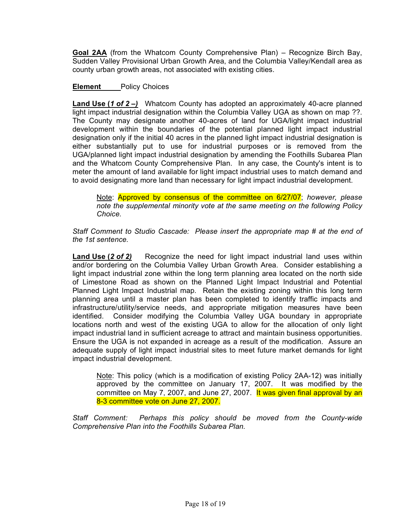**Goal 2AA** (from the Whatcom County Comprehensive Plan) – Recognize Birch Bay, Sudden Valley Provisional Urban Growth Area, and the Columbia Valley/Kendall area as county urban growth areas, not associated with existing cities.

## **Element** Policy Choices

**Land Use (***1 of 2 –)* Whatcom County has adopted an approximately 40-acre planned light impact industrial designation within the Columbia Valley UGA as shown on map ??. The County may designate another 40-acres of land for UGA/light impact industrial development within the boundaries of the potential planned light impact industrial designation only if the initial 40 acres in the planned light impact industrial designation is either substantially put to use for industrial purposes or is removed from the UGA/planned light impact industrial designation by amending the Foothills Subarea Plan and the Whatcom County Comprehensive Plan. In any case, the County's intent is to meter the amount of land available for light impact industrial uses to match demand and to avoid designating more land than necessary for light impact industrial development.

Note: Approved by consensus of the committee on 6/27/07; *however, please note the supplemental minority vote at the same meeting on the following Policy Choice.*

*Staff Comment to Studio Cascade: Please insert the appropriate map # at the end of the 1st sentence.*

**Land Use (***2 of 2)* Recognize the need for light impact industrial land uses within and/or bordering on the Columbia Valley Urban Growth Area. Consider establishing a light impact industrial zone within the long term planning area located on the north side of Limestone Road as shown on the Planned Light Impact Industrial and Potential Planned Light Impact Industrial map. Retain the existing zoning within this long term planning area until a master plan has been completed to identify traffic impacts and infrastructure/utility/service needs, and appropriate mitigation measures have been identified. Consider modifying the Columbia Valley UGA boundary in appropriate locations north and west of the existing UGA to allow for the allocation of only light impact industrial land in sufficient acreage to attract and maintain business opportunities. Ensure the UGA is not expanded in acreage as a result of the modification. Assure an adequate supply of light impact industrial sites to meet future market demands for light impact industrial development.

Note: This policy (which is a modification of existing Policy 2AA-12) was initially approved by the committee on January 17, 2007. It was modified by the committee on May 7, 2007, and June 27, 2007. It was given final approval by an 8-3 committee vote on June 27, 2007.

*Staff Comment: Perhaps this policy should be moved from the County-wide Comprehensive Plan into the Foothills Subarea Plan.*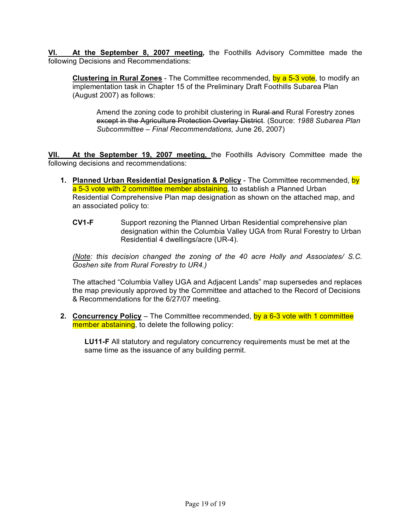At the September 8, 2007 meeting, the Foothills Advisory Committee made the following Decisions and Recommendations:

**Clustering in Rural Zones** - The Committee recommended, by a 5-3 vote, to modify an implementation task in Chapter 15 of the Preliminary Draft Foothills Subarea Plan (August 2007) as follows:

Amend the zoning code to prohibit clustering in Rural and Rural Forestry zones except in the Agriculture Protection Overlay District. (Source: *1988 Subarea Plan Subcommittee – Final Recommendations,* June 26, 2007)

**VII. At the September 19, 2007 meeting,** the Foothills Advisory Committee made the following decisions and recommendations:

- **1. Planned Urban Residential Designation & Policy** The Committee recommended, by a 5-3 vote with 2 committee member abstaining, to establish a Planned Urban Residential Comprehensive Plan map designation as shown on the attached map, and an associated policy to:
	- **CV1-F** Support rezoning the Planned Urban Residential comprehensive plan designation within the Columbia Valley UGA from Rural Forestry to Urban Residential 4 dwellings/acre (UR-4).

*(Note: this decision changed the zoning of the 40 acre Holly and Associates/ S.C. Goshen site from Rural Forestry to UR4.)*

The attached "Columbia Valley UGA and Adjacent Lands" map supersedes and replaces the map previously approved by the Committee and attached to the Record of Decisions & Recommendations for the 6/27/07 meeting.

**2. Concurrency Policy** – The Committee recommended, by a 6-3 vote with 1 committee member abstaining, to delete the following policy:

**LU11-F** All statutory and regulatory concurrency requirements must be met at the same time as the issuance of any building permit.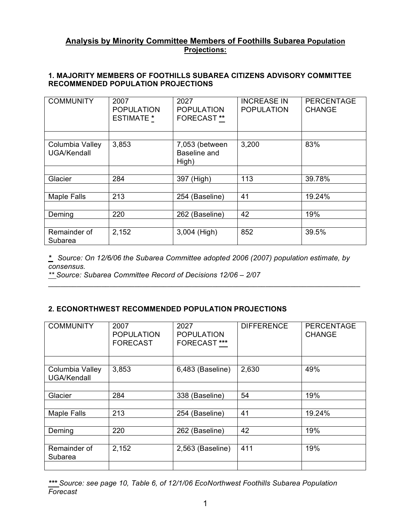# **Analysis by Minority Committee Members of Foothills Subarea Population Projections:**

## **1. MAJORITY MEMBERS OF FOOTHILLS SUBAREA CITIZENS ADVISORY COMMITTEE RECOMMENDED POPULATION PROJECTIONS**

| <b>COMMUNITY</b>               | 2007<br><b>POPULATION</b><br><b>ESTIMATE *</b> | 2027<br><b>POPULATION</b><br><b>FORECAST**</b> | <b>INCREASE IN</b><br><b>POPULATION</b> | <b>PERCENTAGE</b><br><b>CHANGE</b> |
|--------------------------------|------------------------------------------------|------------------------------------------------|-----------------------------------------|------------------------------------|
|                                |                                                |                                                |                                         |                                    |
| Columbia Valley<br>UGA/Kendall | 3,853                                          | 7,053 (between<br>Baseline and<br>High)        | 3,200                                   | 83%                                |
|                                |                                                |                                                |                                         |                                    |
| Glacier                        | 284                                            | 397 (High)                                     | 113                                     | 39.78%                             |
|                                |                                                |                                                |                                         |                                    |
| <b>Maple Falls</b>             | 213                                            | 254 (Baseline)                                 | 41                                      | 19.24%                             |
|                                |                                                |                                                |                                         |                                    |
| Deming                         | 220                                            | 262 (Baseline)                                 | 42                                      | 19%                                |
|                                |                                                |                                                |                                         |                                    |
| Remainder of<br>Subarea        | 2,152                                          | 3,004 (High)                                   | 852                                     | 39.5%                              |

*\* Source: On 12/6/06 the Subarea Committee adopted 2006 (2007) population estimate, by consensus.*

\_\_\_\_\_\_\_\_\_\_\_\_\_\_\_\_\_\_\_\_\_\_\_\_\_\_\_\_\_\_\_\_\_\_\_\_\_\_\_\_\_\_\_\_\_\_\_\_\_\_\_\_\_\_\_\_\_\_\_\_\_\_\_\_\_\_\_\_\_\_\_\_\_\_\_\_

*\*\* Source: Subarea Committee Record of Decisions 12/06 – 2/07*

# **2. ECONORTHWEST RECOMMENDED POPULATION PROJECTIONS**

| <b>COMMUNITY</b>               | 2007<br><b>POPULATION</b><br><b>FORECAST</b> | 2027<br><b>POPULATION</b><br><b>FORECAST ***</b> | <b>DIFFERENCE</b> | <b>PERCENTAGE</b><br><b>CHANGE</b> |
|--------------------------------|----------------------------------------------|--------------------------------------------------|-------------------|------------------------------------|
| Columbia Valley<br>UGA/Kendall | 3,853                                        | 6,483 (Baseline)                                 | 2,630             | 49%                                |
| Glacier                        | 284                                          | 338 (Baseline)                                   | 54                | 19%                                |
| <b>Maple Falls</b>             | 213                                          | 254 (Baseline)                                   | 41                | 19.24%                             |
| Deming                         | 220                                          | 262 (Baseline)                                   | 42                | 19%                                |
| Remainder of<br>Subarea        | 2,152                                        | 2,563 (Baseline)                                 | 411               | 19%                                |
|                                |                                              |                                                  |                   |                                    |

*\*\*\* Source: see page 10, Table 6, of 12/1/06 EcoNorthwest Foothills Subarea Population Forecast*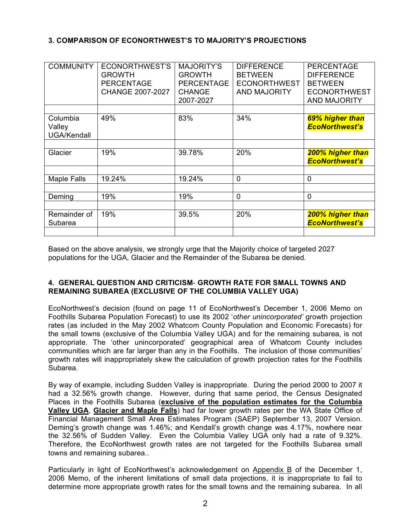# **3. COMPARISON OF ECONORTHWEST'S TO MAJORITY'S PROJECTIONS**

| <b>COMMUNITY</b>                         | ECONORTHWEST'S<br><b>GROWTH</b><br><b>PERCENTAGE</b><br>CHANGE 2007-2027 | <b>MAJORITY'S</b><br><b>GROWTH</b><br><b>PERCENTAGE</b><br><b>CHANGE</b><br>2007-2027 | <b>DIFFERENCE</b><br><b>BETWEEN</b><br><b>ECONORTHWEST</b><br><b>AND MAJORITY</b> | <b>PERCENTAGE</b><br><b>DIFFERENCE</b><br><b>BETWEEN</b><br><b>ECONORTHWEST</b><br><b>AND MAJORITY</b> |
|------------------------------------------|--------------------------------------------------------------------------|---------------------------------------------------------------------------------------|-----------------------------------------------------------------------------------|--------------------------------------------------------------------------------------------------------|
|                                          |                                                                          |                                                                                       |                                                                                   |                                                                                                        |
| Columbia<br>Valley<br><b>UGA/Kendall</b> | 49%                                                                      | 83%                                                                                   | 34%                                                                               | 69% higher than<br><b>EcoNorthwest's</b>                                                               |
|                                          |                                                                          |                                                                                       |                                                                                   |                                                                                                        |
| Glacier                                  | 19%                                                                      | 39.78%                                                                                | 20%                                                                               | 200% higher than<br><b>EcoNorthwest's</b>                                                              |
|                                          |                                                                          |                                                                                       |                                                                                   |                                                                                                        |
| <b>Maple Falls</b>                       | 19.24%                                                                   | 19.24%                                                                                | $\mathbf 0$                                                                       | $\mathbf{0}$                                                                                           |
|                                          |                                                                          |                                                                                       |                                                                                   |                                                                                                        |
| Deming                                   | 19%                                                                      | 19%                                                                                   | $\overline{0}$                                                                    | $\mathbf 0$                                                                                            |
|                                          |                                                                          |                                                                                       |                                                                                   |                                                                                                        |
| Remainder of<br>Subarea                  | 19%                                                                      | 39.5%                                                                                 | 20%                                                                               | 200% higher than<br><b>EcoNorthwest's</b>                                                              |
|                                          |                                                                          |                                                                                       |                                                                                   |                                                                                                        |

Based on the above analysis, we strongly urge that the Majority choice of targeted 2027 populations for the UGA, Glacier and the Remainder of the Subarea be denied.

#### **4. GENERAL QUESTION AND CRITICISM**- **GROWTH RATE FOR SMALL TOWNS AND REMAINING SUBAREA (EXCLUSIVE OF THE COLUMBIA VALLEY UGA)**

EcoNorthwest's decision (found on page 11 of EcoNorthwest's December 1, 2006 Memo on Foothills Subarea Population Forecast) to use its 2002 '*other unincorporated'* growth projection rates (as included in the May 2002 Whatcom County Population and Economic Forecasts) for the small towns (exclusive of the Columbia Valley UGA) and for the remaining subarea, is not appropriate. The 'other unincorporated' geographical area of Whatcom County includes communities which are far larger than any in the Foothills. The inclusion of those communities' growth rates will inappropriately skew the calculation of growth projection rates for the Foothills Subarea.

By way of example, including Sudden Valley is inappropriate. During the period 2000 to 2007 it had a 32.56% growth change. However, during that same period, the Census Designated Places in the Foothills Subarea (**exclusive of the population estimates for the Columbia Valley UGA**, **Glacier and Maple Falls**) had far lower growth rates per the WA State Office of Financial Management Small Area Estimates Program (SAEP) September 13, 2007 Version. Deming's growth change was 1.46%; and Kendall's growth change was 4.17%, nowhere near the 32.56% of Sudden Valley. Even the Columbia Valley UGA only had a rate of 9.32%. Therefore, the EcoNorthwest growth rates are not targeted for the Foothills Subarea small towns and remaining subarea..

Particularly in light of EcoNorthwest's acknowledgement on Appendix B of the December 1, 2006 Memo, of the inherent limitations of small data projections, it is inappropriate to fail to determine more appropriate growth rates for the small towns and the remaining subarea. In all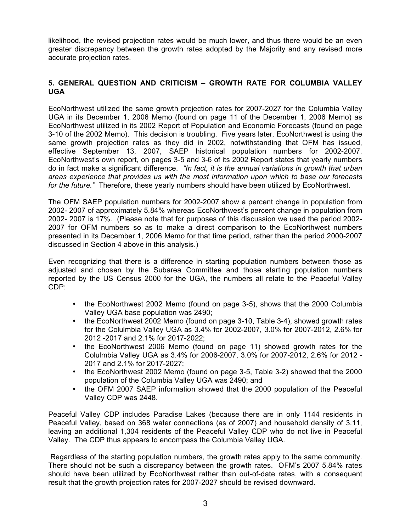likelihood, the revised projection rates would be much lower, and thus there would be an even greater discrepancy between the growth rates adopted by the Majority and any revised more accurate projection rates.

## **5. GENERAL QUESTION AND CRITICISM – GROWTH RATE FOR COLUMBIA VALLEY UGA**

EcoNorthwest utilized the same growth projection rates for 2007-2027 for the Columbia Valley UGA in its December 1, 2006 Memo (found on page 11 of the December 1, 2006 Memo) as EcoNorthwest utilized in its 2002 Report of Population and Economic Forecasts (found on page 3-10 of the 2002 Memo). This decision is troubling. Five years later, EcoNorthwest is using the same growth projection rates as they did in 2002, notwithstanding that OFM has issued, effective September 13, 2007, SAEP historical population numbers for 2002-2007. EcoNorthwest's own report, on pages 3-5 and 3-6 of its 2002 Report states that yearly numbers do in fact make a significant difference. *"In fact, it is the annual variations in growth that urban areas experience that provides us with the most information upon which to base our forecasts for the future."* Therefore, these yearly numbers should have been utilized by EcoNorthwest.

The OFM SAEP population numbers for 2002-2007 show a percent change in population from 2002- 2007 of approximately 5.84% whereas EcoNorthwest's percent change in population from 2002- 2007 is 17%. (Please note that for purposes of this discussion we used the period 2002- 2007 for OFM numbers so as to make a direct comparison to the EcoNorthwest numbers presented in its December 1, 2006 Memo for that time period, rather than the period 2000-2007 discussed in Section 4 above in this analysis.)

Even recognizing that there is a difference in starting population numbers between those as adjusted and chosen by the Subarea Committee and those starting population numbers reported by the US Census 2000 for the UGA, the numbers all relate to the Peaceful Valley CDP:

- the EcoNorthwest 2002 Memo (found on page 3-5), shows that the 2000 Columbia Valley UGA base population was 2490;
- the EcoNorthwest 2002 Memo (found on page 3-10, Table 3-4), showed growth rates for the Colulmbia Valley UGA as 3.4% for 2002-2007, 3.0% for 2007-2012, 2.6% for 2012 -2017 and 2.1% for 2017-2022;
- the EcoNorthwest 2006 Memo (found on page 11) showed growth rates for the Colulmbia Valley UGA as 3.4% for 2006-2007, 3.0% for 2007-2012, 2.6% for 2012 - 2017 and 2.1% for 2017-2027;
- the EcoNorthwest 2002 Memo (found on page 3-5, Table 3-2) showed that the 2000 population of the Columbia Valley UGA was 2490; and
- the OFM 2007 SAEP information showed that the 2000 population of the Peaceful Valley CDP was 2448.

Peaceful Valley CDP includes Paradise Lakes (because there are in only 1144 residents in Peaceful Valley, based on 368 water connections (as of 2007) and household density of 3.11, leaving an additional 1,304 residents of the Peaceful Valley CDP who do not live in Peaceful Valley. The CDP thus appears to encompass the Columbia Valley UGA.

Regardless of the starting population numbers, the growth rates apply to the same community. There should not be such a discrepancy between the growth rates. OFM's 2007 5.84% rates should have been utilized by EcoNorthwest rather than out-of-date rates, with a consequent result that the growth projection rates for 2007-2027 should be revised downward.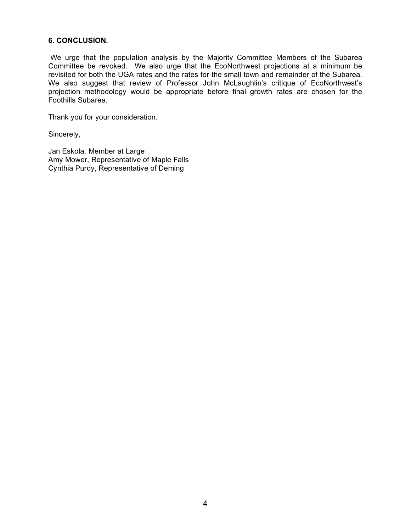#### **6. CONCLUSION.**

We urge that the population analysis by the Majority Committee Members of the Subarea Committee be revoked. We also urge that the EcoNorthwest projections at a minimum be revisited for both the UGA rates and the rates for the small town and remainder of the Subarea. We also suggest that review of Professor John McLaughlin's critique of EcoNorthwest's projection methodology would be appropriate before final growth rates are chosen for the Foothills Subarea.

Thank you for your consideration.

Sincerely,

Jan Eskola, Member at Large Amy Mower, Representative of Maple Falls Cynthia Purdy, Representative of Deming